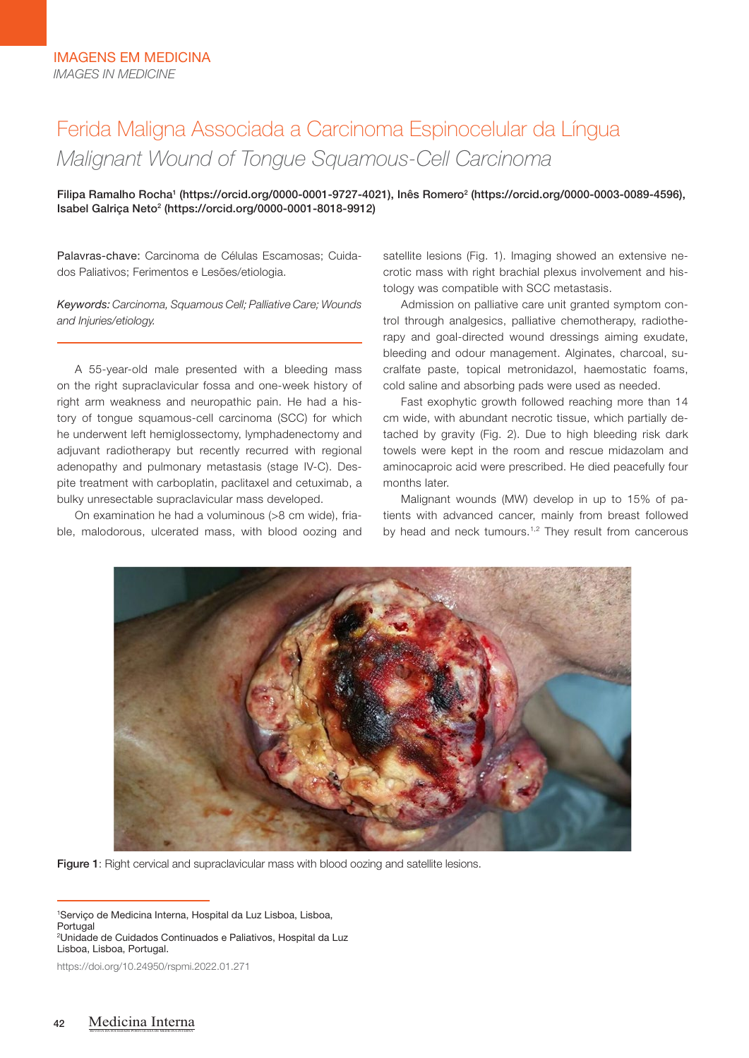# Ferida Maligna Associada a Carcinoma Espinocelular da Língua *Malignant Wound of Tongue Squamous-Cell Carcinoma*

Filipa Ramalho Rocha<sup>1</sup> (https://orcid.org/0000-0001-9727-4021), Inês Romero<sup>2</sup> (https://orcid.org/0000-0003-0089-4596), Isabel Galriça Neto<sup>2</sup> (https://orcid.org/0000-0001-8018-9912)

Palavras-chave: Carcinoma de Células Escamosas; Cuidados Paliativos; Ferimentos e Lesões/etiologia.

*Keywords: Carcinoma, Squamous Cell; Palliative Care; Wounds and Injuries/etiology.*

A 55-year-old male presented with a bleeding mass on the right supraclavicular fossa and one-week history of right arm weakness and neuropathic pain. He had a history of tongue squamous-cell carcinoma (SCC) for which he underwent left hemiglossectomy, lymphadenectomy and adjuvant radiotherapy but recently recurred with regional adenopathy and pulmonary metastasis (stage IV-C). Despite treatment with carboplatin, paclitaxel and cetuximab, a bulky unresectable supraclavicular mass developed.

On examination he had a voluminous (>8 cm wide), friable, malodorous, ulcerated mass, with blood oozing and satellite lesions (Fig. 1). Imaging showed an extensive necrotic mass with right brachial plexus involvement and histology was compatible with SCC metastasis.

Admission on palliative care unit granted symptom control through analgesics, palliative chemotherapy, radiotherapy and goal-directed wound dressings aiming exudate, bleeding and odour management. Alginates, charcoal, sucralfate paste, topical metronidazol, haemostatic foams, cold saline and absorbing pads were used as needed.

Fast exophytic growth followed reaching more than 14 cm wide, with abundant necrotic tissue, which partially detached by gravity (Fig. 2). Due to high bleeding risk dark towels were kept in the room and rescue midazolam and aminocaproic acid were prescribed. He died peacefully four months later.

Malignant wounds (MW) develop in up to 15% of patients with advanced cancer, mainly from breast followed by head and neck tumours.<sup>1,2</sup> They result from cancerous



Figure 1: Right cervical and supraclavicular mass with blood oozing and satellite lesions.

1 Serviço de Medicina Interna, Hospital da Luz Lisboa, Lisboa, Portugal 2 Unidade de Cuidados Continuados e Paliativos, Hospital da Luz

Lisboa, Lisboa, Portugal.

https://doi.org/10.24950/rspmi.2022.01.271

REVISTA DA SOCIEDADE PORTUGUESA DE MEDICINA INTERNA